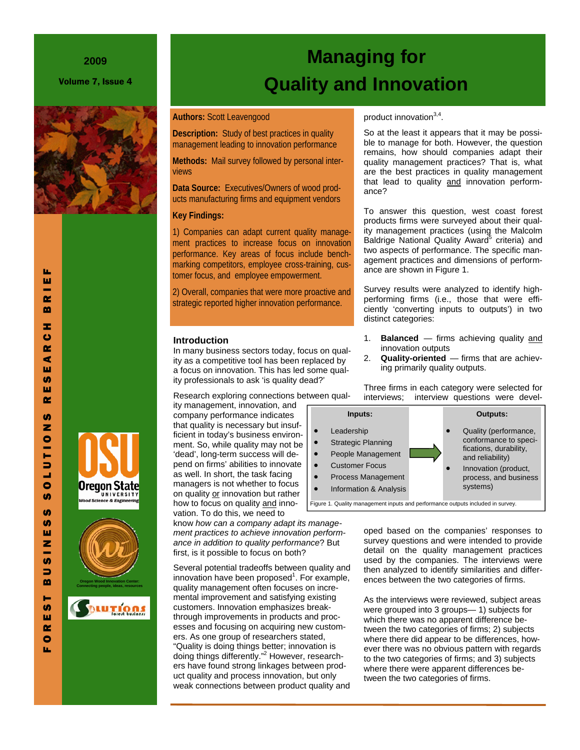#### **2009**

Volume 7, Issue 4



# Oregon State nce & Engi



## **Managing for Quality and Innovation**

#### **Authors:** Scott Leavengood

**Description:** Study of best practices in quality management leading to innovation performance

**Methods:** Mail survey followed by personal interviews

**Data Source:** Executives/Owners of wood products manufacturing firms and equipment vendors

#### **Key Findings:**

1) Companies can adapt current quality management practices to increase focus on innovation performance. Key areas of focus include benchmarking competitors, employee cross-training, customer focus, and employee empowerment.

2) Overall, companies that were more proactive and strategic reported higher innovation performance.

#### **Introduction**

In many business sectors today, focus on quality as a competitive tool has been replaced by a focus on innovation. This has led some quality professionals to ask 'is quality dead?'

Research exploring connections between qual-

ity management, innovation, and company performance indicates that quality is necessary but insufficient in today's business environment. So, while quality may not be 'dead', long-term success will depend on firms' abilities to innovate as well. In short, the task facing managers is not whether to focus on quality or innovation but rather how to focus on quality and innovation. To do this, we need to

know *how can a company adapt its management practices to achieve innovation performance in addition to quality performance*? But first, is it possible to focus on both?

Several potential tradeoffs between quality and innovation have been proposed<sup>1</sup>. For example, quality management often focuses on incremental improvement and satisfying existing customers. Innovation emphasizes breakthrough improvements in products and processes and focusing on acquiring new customers. As one group of researchers stated, "Quality is doing things better; innovation is doing things differently."<sup>2</sup> However, researchers have found strong linkages between product quality and process innovation, but only weak connections between product quality and

#### product innovation<sup>3,4</sup>.

So at the least it appears that it may be possible to manage for both. However, the question remains, how should companies adapt their quality management practices? That is, what are the best practices in quality management that lead to quality and innovation performance?

To answer this question, west coast forest products firms were surveyed about their quality management practices (using the Malcolm Baldrige National Quality Award<sup>5</sup> criteria) and two aspects of performance. The specific management practices and dimensions of performance are shown in Figure 1.

Survey results were analyzed to identify highperforming firms (i.e., those that were efficiently 'converting inputs to outputs') in two distinct categories:

- 1. **Balanced**  firms achieving quality and innovation outputs
- 2. **Quality-oriented**  firms that are achieving primarily quality outputs.

Three firms in each category were selected for interviews; interview questions were devel-



oped based on the companies' responses to survey questions and were intended to provide detail on the quality management practices used by the companies. The interviews were then analyzed to identify similarities and differences between the two categories of firms.

As the interviews were reviewed, subject areas were grouped into 3 groups— 1) subjects for which there was no apparent difference between the two categories of firms; 2) subjects where there did appear to be differences, however there was no obvious pattern with regards to the two categories of firms; and 3) subjects where there were apparent differences between the two categories of firms.

u.

u. ш